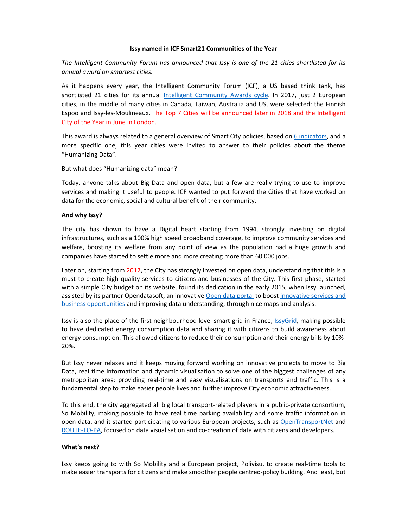## **Issy named in ICF Smart21 Communities of the Year**

*The Intelligent Community Forum has announced that Issy is one of the 21 cities shortlisted for its annual award on smartest cities.* 

As it happens every year, the Intelligent Community Forum (ICF), a US based think tank, has shortlisted 21 cities for its annual Intelligent Community Awards cycle. In 2017, just 2 European cities, in the middle of many cities in Canada, Taiwan, Australia and US, were selected: the Finnish Espoo and Issy-les-Moulineaux. The Top 7 Cities will be announced later in 2018 and the Intelligent City of the Year in June in London.

This award is always related to a general overview of Smart City policies, based on 6 indicators, and a more specific one, this year cities were invited to answer to their policies about the theme "Humanizing Data".

## But what does "Humanizing data" mean?

Today, anyone talks about Big Data and open data, but a few are really trying to use to improve services and making it useful to people. ICF wanted to put forward the Cities that have worked on data for the economic, social and cultural benefit of their community.

## **And why Issy?**

The city has shown to have a Digital heart starting from 1994, strongly investing on digital infrastructures, such as a 100% high speed broadband coverage, to improve community services and welfare, boosting its welfare from any point of view as the population had a huge growth and companies have started to settle more and more creating more than 60.000 jobs.

Later on, starting from 2012, the City has strongly invested on open data, understanding that this is a must to create high quality services to citizens and businesses of the City. This first phase, started with a simple City budget on its website, found its dedication in the early 2015, when Issy launched, assisted by its partner Opendatasoft, an innovative Open data portal to boost innovative services and business opportunities and improving data understanding, through nice maps and analysis.

Issy is also the place of the first neighbourhood level smart grid in France, IssyGrid, making possible to have dedicated energy consumption data and sharing it with citizens to build awareness about energy consumption. This allowed citizens to reduce their consumption and their energy bills by 10%- 20%.

But Issy never relaxes and it keeps moving forward working on innovative projects to move to Big Data, real time information and dynamic visualisation to solve one of the biggest challenges of any metropolitan area: providing real-time and easy visualisations on transports and traffic. This is a fundamental step to make easier people lives and further improve City economic attractiveness.

To this end, the city aggregated all big local transport-related players in a public-private consortium, So Mobility, making possible to have real time parking availability and some traffic information in open data, and it started participating to various European projects, such as OpenTransportNet and ROUTE-TO-PA, focused on data visualisation and co-creation of data with citizens and developers.

## **What's next?**

Issy keeps going to with So Mobility and a European project, Polivisu, to create real-time tools to make easier transports for citizens and make smoother people centred-policy building. And least, but